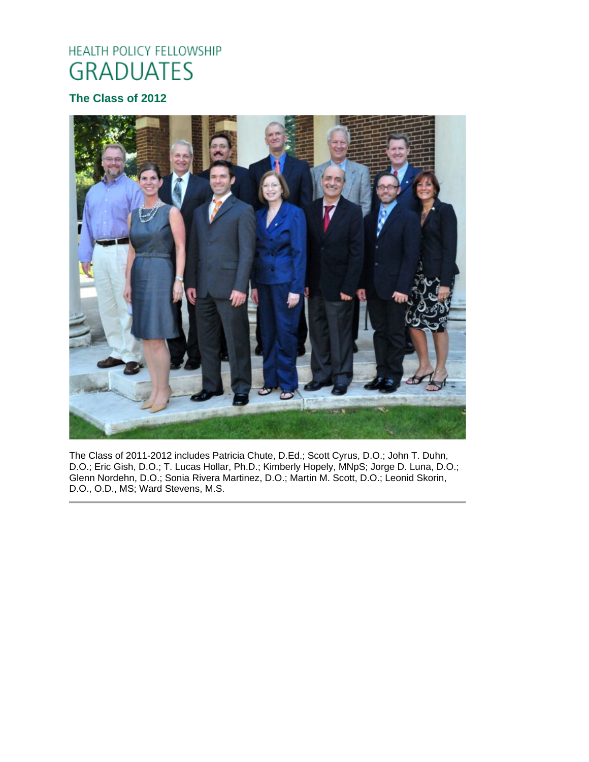# HEALTH POLICY FELLOWSHIP **GRADUATES**

# **The Class of 2012**



The Class of 2011-2012 includes Patricia Chute, D.Ed.; Scott Cyrus, D.O.; John T. Duhn, D.O.; Eric Gish, D.O.; T. Lucas Hollar, Ph.D.; Kimberly Hopely, MNpS; Jorge D. Luna, D.O.; Glenn Nordehn, D.O.; Sonia Rivera Martinez, D.O.; Martin M. Scott, D.O.; Leonid Skorin, D.O., O.D., MS; Ward Stevens, M.S.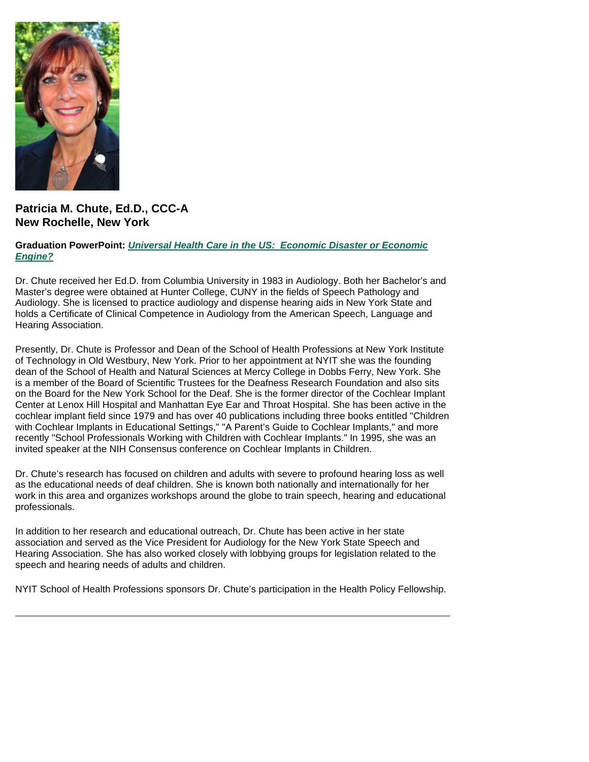

## **Patricia M. Chute, Ed.D., CCC-A New Rochelle, New York**

#### **Graduation PowerPoint:** *Universal Health Care in the US: [Economic Disaster or Economic](https://ohio.box.com/s/p4rvrufnpua0w3eqe0lkn0z22h8vivm4)  [Engine?](https://ohio.box.com/s/p4rvrufnpua0w3eqe0lkn0z22h8vivm4)*

Dr. Chute received her Ed.D. from Columbia University in 1983 in Audiology. Both her Bachelor's and Master's degree were obtained at Hunter College, CUNY in the fields of Speech Pathology and Audiology. She is licensed to practice audiology and dispense hearing aids in New York State and holds a Certificate of Clinical Competence in Audiology from the American Speech, Language and Hearing Association.

Presently, Dr. Chute is Professor and Dean of the School of Health Professions at New York Institute of Technology in Old Westbury, New York. Prior to her appointment at NYIT she was the founding dean of the School of Health and Natural Sciences at Mercy College in Dobbs Ferry, New York. She is a member of the Board of Scientific Trustees for the Deafness Research Foundation and also sits on the Board for the New York School for the Deaf. She is the former director of the Cochlear Implant Center at Lenox Hill Hospital and Manhattan Eye Ear and Throat Hospital. She has been active in the cochlear implant field since 1979 and has over 40 publications including three books entitled "Children with Cochlear Implants in Educational Settings," "A Parent's Guide to Cochlear Implants," and more recently "School Professionals Working with Children with Cochlear Implants." In 1995, she was an invited speaker at the NIH Consensus conference on Cochlear Implants in Children.

Dr. Chute's research has focused on children and adults with severe to profound hearing loss as well as the educational needs of deaf children. She is known both nationally and internationally for her work in this area and organizes workshops around the globe to train speech, hearing and educational professionals.

In addition to her research and educational outreach, Dr. Chute has been active in her state association and served as the Vice President for Audiology for the New York State Speech and Hearing Association. She has also worked closely with lobbying groups for legislation related to the speech and hearing needs of adults and children.

NYIT School of Health Professions sponsors Dr. Chute's participation in the Health Policy Fellowship.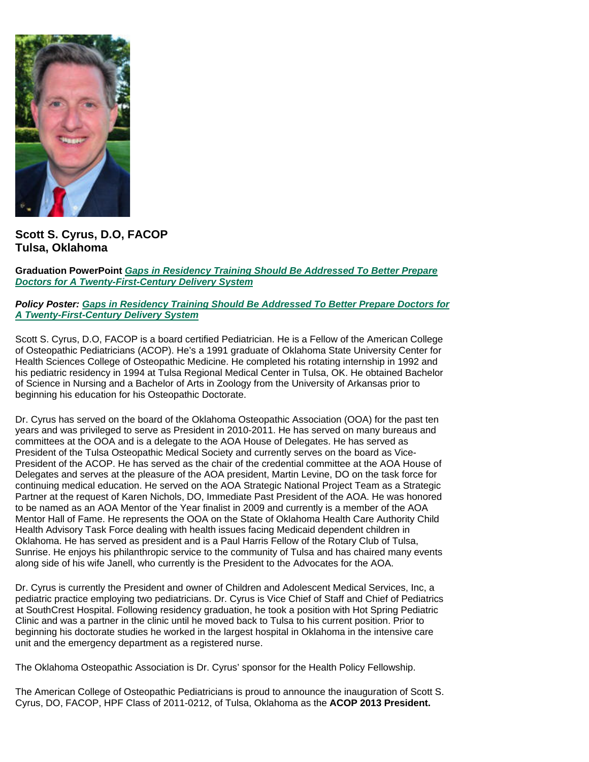

**Scott S. Cyrus, D.O, FACOP Tulsa, Oklahoma**

**Graduation PowerPoint** *[Gaps in Residency Training Should Be Addressed To Better Prepare](https://ohio.box.com/s/1mx747crvnms1je7b6c81w7c5vba8ji5)  [Doctors for A Twenty-First-Century Delivery System](https://ohio.box.com/s/1mx747crvnms1je7b6c81w7c5vba8ji5)*

#### *Policy Poster: [Gaps in Residency Training Should Be Addressed To Better Prepare Doctors for](https://ohio.box.com/s/fjl4tcj3u98bvvhgfqltobo42riz14vy)  [A Twenty-First-Century Delivery System](https://ohio.box.com/s/fjl4tcj3u98bvvhgfqltobo42riz14vy)*

Scott S. Cyrus, D.O, FACOP is a board certified Pediatrician. He is a Fellow of the American College of Osteopathic Pediatricians (ACOP). He's a 1991 graduate of Oklahoma State University Center for Health Sciences College of Osteopathic Medicine. He completed his rotating internship in 1992 and his pediatric residency in 1994 at Tulsa Regional Medical Center in Tulsa, OK. He obtained Bachelor of Science in Nursing and a Bachelor of Arts in Zoology from the University of Arkansas prior to beginning his education for his Osteopathic Doctorate.

Dr. Cyrus has served on the board of the Oklahoma Osteopathic Association (OOA) for the past ten years and was privileged to serve as President in 2010-2011. He has served on many bureaus and committees at the OOA and is a delegate to the AOA House of Delegates. He has served as President of the Tulsa Osteopathic Medical Society and currently serves on the board as Vice-President of the ACOP. He has served as the chair of the credential committee at the AOA House of Delegates and serves at the pleasure of the AOA president, Martin Levine, DO on the task force for continuing medical education. He served on the AOA Strategic National Project Team as a Strategic Partner at the request of Karen Nichols, DO, Immediate Past President of the AOA. He was honored to be named as an AOA Mentor of the Year finalist in 2009 and currently is a member of the AOA Mentor Hall of Fame. He represents the OOA on the State of Oklahoma Health Care Authority Child Health Advisory Task Force dealing with health issues facing Medicaid dependent children in Oklahoma. He has served as president and is a Paul Harris Fellow of the Rotary Club of Tulsa, Sunrise. He enjoys his philanthropic service to the community of Tulsa and has chaired many events along side of his wife Janell, who currently is the President to the Advocates for the AOA.

Dr. Cyrus is currently the President and owner of Children and Adolescent Medical Services, Inc, a pediatric practice employing two pediatricians. Dr. Cyrus is Vice Chief of Staff and Chief of Pediatrics at SouthCrest Hospital. Following residency graduation, he took a position with Hot Spring Pediatric Clinic and was a partner in the clinic until he moved back to Tulsa to his current position. Prior to beginning his doctorate studies he worked in the largest hospital in Oklahoma in the intensive care unit and the emergency department as a registered nurse.

The Oklahoma Osteopathic Association is Dr. Cyrus' sponsor for the Health Policy Fellowship.

The American College of Osteopathic Pediatricians is proud to announce the inauguration of Scott S. Cyrus, DO, FACOP, HPF Class of 2011-0212, of Tulsa, Oklahoma as the **ACOP 2013 President.**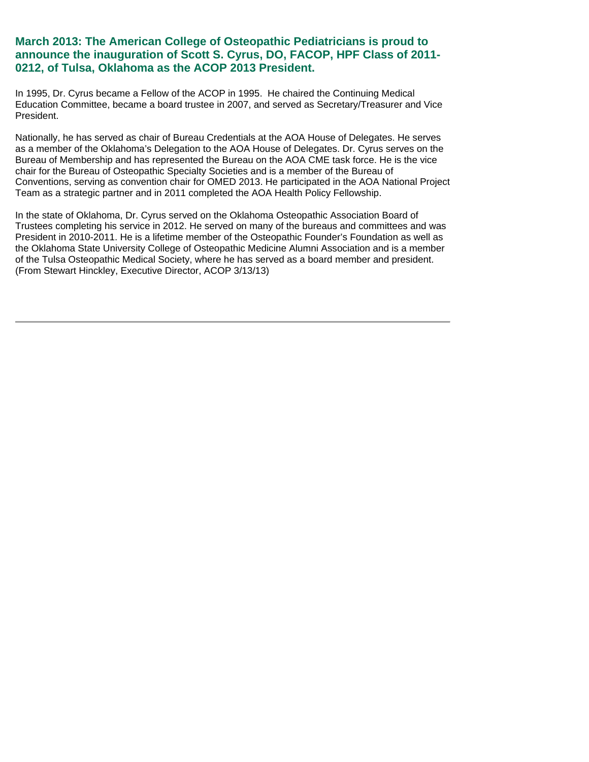## **March 2013: The American College of Osteopathic Pediatricians is proud to announce the inauguration of Scott S. Cyrus, DO, FACOP, HPF Class of 2011- 0212, of Tulsa, Oklahoma as the ACOP 2013 President.**

In 1995, Dr. Cyrus became a Fellow of the ACOP in 1995. He chaired the Continuing Medical Education Committee, became a board trustee in 2007, and served as Secretary/Treasurer and Vice President.

Nationally, he has served as chair of Bureau Credentials at the AOA House of Delegates. He serves as a member of the Oklahoma's Delegation to the AOA House of Delegates. Dr. Cyrus serves on the Bureau of Membership and has represented the Bureau on the AOA CME task force. He is the vice chair for the Bureau of Osteopathic Specialty Societies and is a member of the Bureau of Conventions, serving as convention chair for OMED 2013. He participated in the AOA National Project Team as a strategic partner and in 2011 completed the AOA Health Policy Fellowship.

In the state of Oklahoma, Dr. Cyrus served on the Oklahoma Osteopathic Association Board of Trustees completing his service in 2012. He served on many of the bureaus and committees and was President in 2010-2011. He is a lifetime member of the Osteopathic Founder's Foundation as well as the Oklahoma State University College of Osteopathic Medicine Alumni Association and is a member of the Tulsa Osteopathic Medical Society, where he has served as a board member and president. (From Stewart Hinckley, Executive Director, ACOP 3/13/13)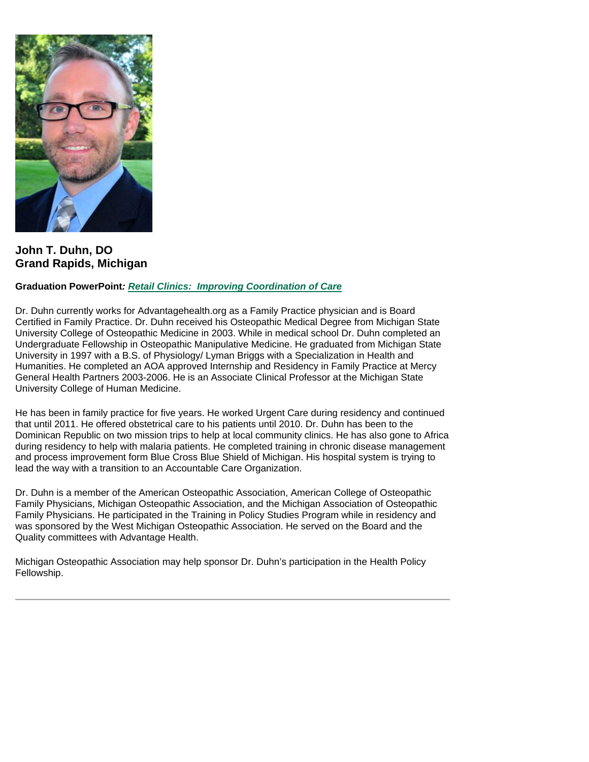

**John T. Duhn, DO Grand Rapids, Michigan**

#### **Graduation PowerPoint***: Retail Clinics: [Improving Coordination of Care](https://ohio.box.com/s/g3v1z62injk1r0hybeagmyrnrwpmvj3q)*

Dr. Duhn currently works for Advantagehealth.org as a Family Practice physician and is Board Certified in Family Practice. Dr. Duhn received his Osteopathic Medical Degree from Michigan State University College of Osteopathic Medicine in 2003. While in medical school Dr. Duhn completed an Undergraduate Fellowship in Osteopathic Manipulative Medicine. He graduated from Michigan State University in 1997 with a B.S. of Physiology/ Lyman Briggs with a Specialization in Health and Humanities. He completed an AOA approved Internship and Residency in Family Practice at Mercy General Health Partners 2003-2006. He is an Associate Clinical Professor at the Michigan State University College of Human Medicine.

He has been in family practice for five years. He worked Urgent Care during residency and continued that until 2011. He offered obstetrical care to his patients until 2010. Dr. Duhn has been to the Dominican Republic on two mission trips to help at local community clinics. He has also gone to Africa during residency to help with malaria patients. He completed training in chronic disease management and process improvement form Blue Cross Blue Shield of Michigan. His hospital system is trying to lead the way with a transition to an Accountable Care Organization.

Dr. Duhn is a member of the American Osteopathic Association, American College of Osteopathic Family Physicians, Michigan Osteopathic Association, and the Michigan Association of Osteopathic Family Physicians. He participated in the Training in Policy Studies Program while in residency and was sponsored by the West Michigan Osteopathic Association. He served on the Board and the Quality committees with Advantage Health.

Michigan Osteopathic Association may help sponsor Dr. Duhn's participation in the Health Policy Fellowship.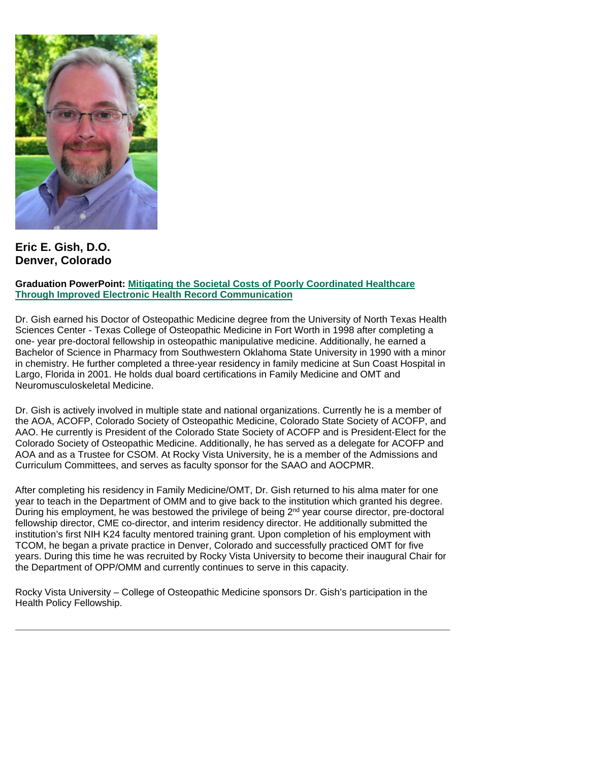

**Eric E. Gish, D.O. Denver, Colorado**

#### **Graduation PowerPoint: [Mitigating the Societal Costs of Poorly Coordinated Healthcare](https://ohio.box.com/s/0hjyhhkcn28n2wjre4h4ds7h714ramky)  [Through Improved Electronic Health Record Communication](https://ohio.box.com/s/0hjyhhkcn28n2wjre4h4ds7h714ramky)**

Dr. Gish earned his Doctor of Osteopathic Medicine degree from the University of North Texas Health Sciences Center - Texas College of Osteopathic Medicine in Fort Worth in 1998 after completing a one- year pre-doctoral fellowship in osteopathic manipulative medicine. Additionally, he earned a Bachelor of Science in Pharmacy from Southwestern Oklahoma State University in 1990 with a minor in chemistry. He further completed a three-year residency in family medicine at Sun Coast Hospital in Largo, Florida in 2001. He holds dual board certifications in Family Medicine and OMT and Neuromusculoskeletal Medicine.

Dr. Gish is actively involved in multiple state and national organizations. Currently he is a member of the AOA, ACOFP, Colorado Society of Osteopathic Medicine, Colorado State Society of ACOFP, and AAO. He currently is President of the Colorado State Society of ACOFP and is President-Elect for the Colorado Society of Osteopathic Medicine. Additionally, he has served as a delegate for ACOFP and AOA and as a Trustee for CSOM. At Rocky Vista University, he is a member of the Admissions and Curriculum Committees, and serves as faculty sponsor for the SAAO and AOCPMR.

After completing his residency in Family Medicine/OMT, Dr. Gish returned to his alma mater for one year to teach in the Department of OMM and to give back to the institution which granted his degree. During his employment, he was bestowed the privilege of being  $2<sup>nd</sup>$  year course director, pre-doctoral fellowship director, CME co-director, and interim residency director. He additionally submitted the institution's first NIH K24 faculty mentored training grant. Upon completion of his employment with TCOM, he began a private practice in Denver, Colorado and successfully practiced OMT for five years. During this time he was recruited by Rocky Vista University to become their inaugural Chair for the Department of OPP/OMM and currently continues to serve in this capacity.

Rocky Vista University – College of Osteopathic Medicine sponsors Dr. Gish's participation in the Health Policy Fellowship.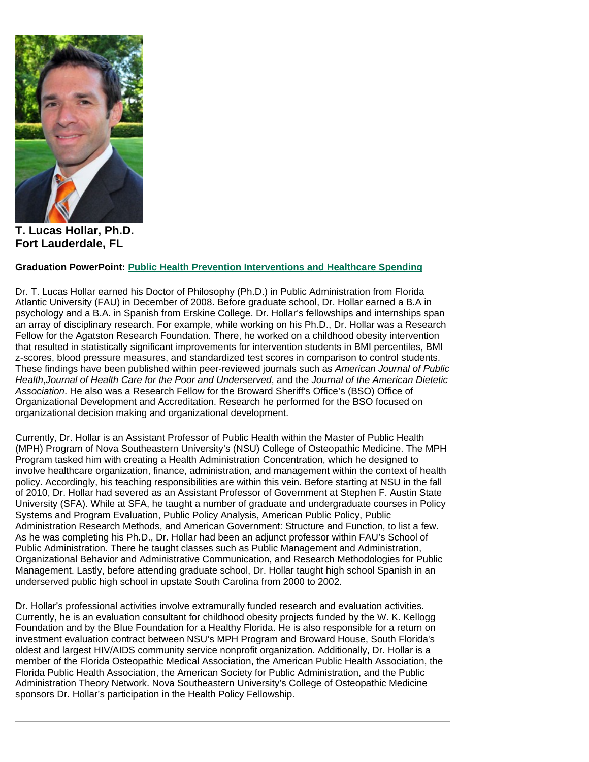

**T. Lucas Hollar, Ph.D. Fort Lauderdale, FL**

#### **Graduation PowerPoint: [Public Health Prevention Interventions and Healthcare Spending](https://ohio.box.com/s/0vowiw646sbjoz8cwo8rdu05saadvl5t)**

Dr. T. Lucas Hollar earned his Doctor of Philosophy (Ph.D.) in Public Administration from Florida Atlantic University (FAU) in December of 2008. Before graduate school, Dr. Hollar earned a B.A in psychology and a B.A. in Spanish from Erskine College. Dr. Hollar's fellowships and internships span an array of disciplinary research. For example, while working on his Ph.D., Dr. Hollar was a Research Fellow for the Agatston Research Foundation. There, he worked on a childhood obesity intervention that resulted in statistically significant improvements for intervention students in BMI percentiles, BMI z-scores, blood pressure measures, and standardized test scores in comparison to control students. These findings have been published within peer-reviewed journals such as *American Journal of Public Health*,*Journal of Health Care for the Poor and Underserved*, and the *Journal of the American Dietetic Association*. He also was a Research Fellow for the Broward Sheriff's Office's (BSO) Office of Organizational Development and Accreditation. Research he performed for the BSO focused on organizational decision making and organizational development.

Currently, Dr. Hollar is an Assistant Professor of Public Health within the Master of Public Health (MPH) Program of Nova Southeastern University's (NSU) College of Osteopathic Medicine. The MPH Program tasked him with creating a Health Administration Concentration, which he designed to involve healthcare organization, finance, administration, and management within the context of health policy. Accordingly, his teaching responsibilities are within this vein. Before starting at NSU in the fall of 2010, Dr. Hollar had severed as an Assistant Professor of Government at Stephen F. Austin State University (SFA). While at SFA, he taught a number of graduate and undergraduate courses in Policy Systems and Program Evaluation, Public Policy Analysis, American Public Policy, Public Administration Research Methods, and American Government: Structure and Function, to list a few. As he was completing his Ph.D., Dr. Hollar had been an adjunct professor within FAU's School of Public Administration. There he taught classes such as Public Management and Administration, Organizational Behavior and Administrative Communication, and Research Methodologies for Public Management. Lastly, before attending graduate school, Dr. Hollar taught high school Spanish in an underserved public high school in upstate South Carolina from 2000 to 2002.

Dr. Hollar's professional activities involve extramurally funded research and evaluation activities. Currently, he is an evaluation consultant for childhood obesity projects funded by the W. K. Kellogg Foundation and by the Blue Foundation for a Healthy Florida. He is also responsible for a return on investment evaluation contract between NSU's MPH Program and Broward House, South Florida's oldest and largest HIV/AIDS community service nonprofit organization. Additionally, Dr. Hollar is a member of the Florida Osteopathic Medical Association, the American Public Health Association, the Florida Public Health Association, the American Society for Public Administration, and the Public Administration Theory Network. Nova Southeastern University's College of Osteopathic Medicine sponsors Dr. Hollar's participation in the Health Policy Fellowship.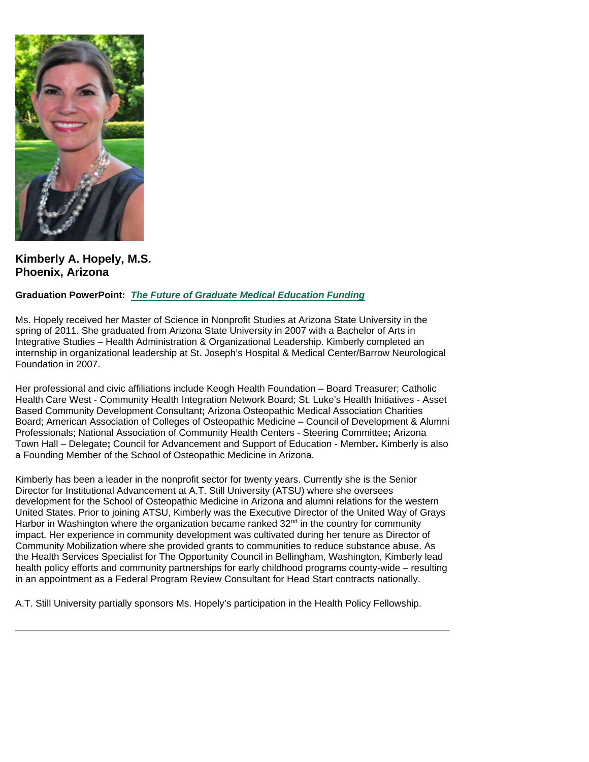

**Kimberly A. Hopely, M.S. Phoenix, Arizona**

## **Graduation PowerPoint:** *[The Future of Graduate Medical Education Funding](https://ohio.box.com/s/4q3rxg2fqrssxkwh84h4ub9e8uc35h5m)*

Ms. Hopely received her Master of Science in Nonprofit Studies at Arizona State University in the spring of 2011. She graduated from Arizona State University in 2007 with a Bachelor of Arts in Integrative Studies – Health Administration & Organizational Leadership. Kimberly completed an internship in organizational leadership at St. Joseph's Hospital & Medical Center/Barrow Neurological Foundation in 2007.

Her professional and civic affiliations include Keogh Health Foundation – Board Treasurer; Catholic Health Care West - Community Health Integration Network Board; St. Luke's Health Initiatives - Asset Based Community Development Consultant**;** Arizona Osteopathic Medical Association Charities Board; American Association of Colleges of Osteopathic Medicine – Council of Development & Alumni Professionals; National Association of Community Health Centers - Steering Committee**;** Arizona Town Hall – Delegate**;** Council for Advancement and Support of Education - Member**.** Kimberly is also a Founding Member of the School of Osteopathic Medicine in Arizona.

Kimberly has been a leader in the nonprofit sector for twenty years. Currently she is the Senior Director for Institutional Advancement at A.T. Still University (ATSU) where she oversees development for the School of Osteopathic Medicine in Arizona and alumni relations for the western United States. Prior to joining ATSU, Kimberly was the Executive Director of the United Way of Grays Harbor in Washington where the organization became ranked  $32<sup>nd</sup>$  in the country for community impact. Her experience in community development was cultivated during her tenure as Director of Community Mobilization where she provided grants to communities to reduce substance abuse. As the Health Services Specialist for The Opportunity Council in Bellingham, Washington, Kimberly lead health policy efforts and community partnerships for early childhood programs county-wide – resulting in an appointment as a Federal Program Review Consultant for Head Start contracts nationally.

A.T. Still University partially sponsors Ms. Hopely's participation in the Health Policy Fellowship.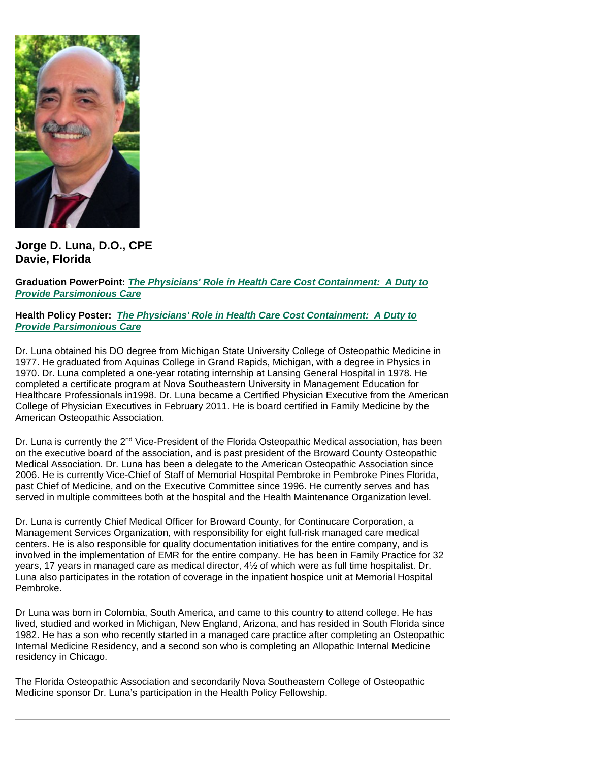

**Jorge D. Luna, D.O., CPE Davie, Florida**

**Graduation PowerPoint:** *[The Physicians' Role in Health Care Cost](https://ohio.box.com/s/m1u8fz6oh98v9v3relwt1gm2xz2aaof0) Containment: A Duty to [Provide Parsimonious Care](https://ohio.box.com/s/m1u8fz6oh98v9v3relwt1gm2xz2aaof0)*

**Health Policy Poster:** *[The Physicians' Role in Health Care Cost Containment:](https://ohio.box.com/s/auyo3i0shc56br4cvj948naejy26p9g4) A Duty to [Provide Parsimonious Care](https://ohio.box.com/s/auyo3i0shc56br4cvj948naejy26p9g4)*

Dr. Luna obtained his DO degree from Michigan State University College of Osteopathic Medicine in 1977. He graduated from Aquinas College in Grand Rapids, Michigan, with a degree in Physics in 1970. Dr. Luna completed a one-year rotating internship at Lansing General Hospital in 1978. He completed a certificate program at Nova Southeastern University in Management Education for Healthcare Professionals in1998. Dr. Luna became a Certified Physician Executive from the American College of Physician Executives in February 2011. He is board certified in Family Medicine by the American Osteopathic Association.

Dr. Luna is currently the 2<sup>nd</sup> Vice-President of the Florida Osteopathic Medical association, has been on the executive board of the association, and is past president of the Broward County Osteopathic Medical Association. Dr. Luna has been a delegate to the American Osteopathic Association since 2006. He is currently Vice-Chief of Staff of Memorial Hospital Pembroke in Pembroke Pines Florida, past Chief of Medicine, and on the Executive Committee since 1996. He currently serves and has served in multiple committees both at the hospital and the Health Maintenance Organization level.

Dr. Luna is currently Chief Medical Officer for Broward County, for Continucare Corporation, a Management Services Organization, with responsibility for eight full-risk managed care medical centers. He is also responsible for quality documentation initiatives for the entire company, and is involved in the implementation of EMR for the entire company. He has been in Family Practice for 32 years, 17 years in managed care as medical director, 4½ of which were as full time hospitalist. Dr. Luna also participates in the rotation of coverage in the inpatient hospice unit at Memorial Hospital Pembroke.

Dr Luna was born in Colombia, South America, and came to this country to attend college. He has lived, studied and worked in Michigan, New England, Arizona, and has resided in South Florida since 1982. He has a son who recently started in a managed care practice after completing an Osteopathic Internal Medicine Residency, and a second son who is completing an Allopathic Internal Medicine residency in Chicago.

The Florida Osteopathic Association and secondarily Nova Southeastern College of Osteopathic Medicine sponsor Dr. Luna's participation in the Health Policy Fellowship.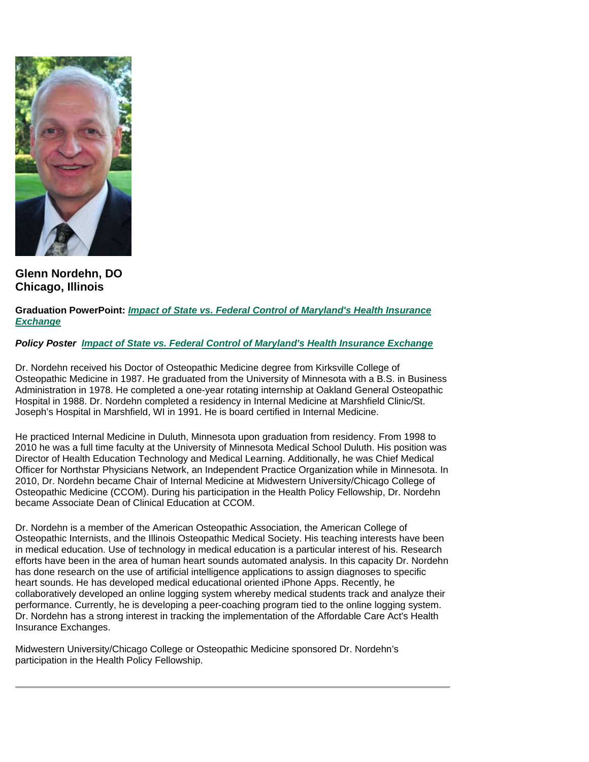

**Glenn Nordehn, DO Chicago, Illinois**

**Graduation PowerPoint:** *[Impact of State vs. Federal Control of Maryland's Health Insurance](https://ohio.box.com/s/x1m7ccm57ioenugxyob1y9e6m5nklvpf)  [Exchange](https://ohio.box.com/s/x1m7ccm57ioenugxyob1y9e6m5nklvpf)*

*Policy Poster [Impact of State vs. Federal Control of Maryland's Health Insurance Exchange](https://ohio.box.com/s/2jq2zv5scfcv520hp50ovzch0rtoa2bt)*

Dr. Nordehn received his Doctor of Osteopathic Medicine degree from Kirksville College of Osteopathic Medicine in 1987. He graduated from the University of Minnesota with a B.S. in Business Administration in 1978. He completed a one-year rotating internship at Oakland General Osteopathic Hospital in 1988. Dr. Nordehn completed a residency in Internal Medicine at Marshfield Clinic/St. Joseph's Hospital in Marshfield, WI in 1991. He is board certified in Internal Medicine.

He practiced Internal Medicine in Duluth, Minnesota upon graduation from residency. From 1998 to 2010 he was a full time faculty at the University of Minnesota Medical School Duluth. His position was Director of Health Education Technology and Medical Learning. Additionally, he was Chief Medical Officer for Northstar Physicians Network, an Independent Practice Organization while in Minnesota. In 2010, Dr. Nordehn became Chair of Internal Medicine at Midwestern University/Chicago College of Osteopathic Medicine (CCOM). During his participation in the Health Policy Fellowship, Dr. Nordehn became Associate Dean of Clinical Education at CCOM.

Dr. Nordehn is a member of the American Osteopathic Association, the American College of Osteopathic Internists, and the Illinois Osteopathic Medical Society. His teaching interests have been in medical education. Use of technology in medical education is a particular interest of his. Research efforts have been in the area of human heart sounds automated analysis. In this capacity Dr. Nordehn has done research on the use of artificial intelligence applications to assign diagnoses to specific heart sounds. He has developed medical educational oriented iPhone Apps. Recently, he collaboratively developed an online logging system whereby medical students track and analyze their performance. Currently, he is developing a peer-coaching program tied to the online logging system. Dr. Nordehn has a strong interest in tracking the implementation of the Affordable Care Act's Health Insurance Exchanges.

Midwestern University/Chicago College or Osteopathic Medicine sponsored Dr. Nordehn's participation in the Health Policy Fellowship.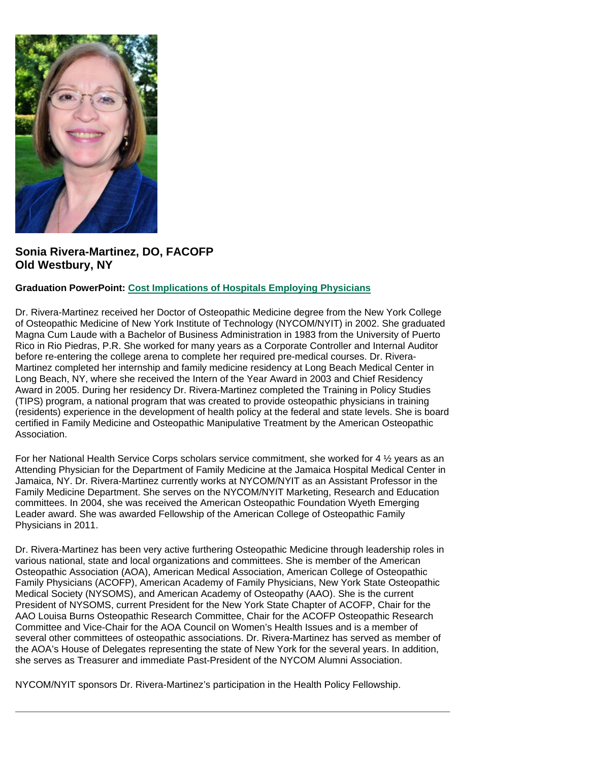

# **Sonia Rivera-Martinez, DO, FACOFP Old Westbury, NY**

## **Graduation PowerPoint: [Cost Implications of Hospitals Employing Physicians](https://ohio.box.com/s/ws5k4zozaq8p3p6bvddv5950odl9c8v0)**

Dr. Rivera-Martinez received her Doctor of Osteopathic Medicine degree from the New York College of Osteopathic Medicine of New York Institute of Technology (NYCOM/NYIT) in 2002. She graduated Magna Cum Laude with a Bachelor of Business Administration in 1983 from the University of Puerto Rico in Rio Piedras, P.R. She worked for many years as a Corporate Controller and Internal Auditor before re-entering the college arena to complete her required pre-medical courses. Dr. Rivera-Martinez completed her internship and family medicine residency at Long Beach Medical Center in Long Beach, NY, where she received the Intern of the Year Award in 2003 and Chief Residency Award in 2005. During her residency Dr. Rivera-Martinez completed the Training in Policy Studies (TIPS) program, a national program that was created to provide osteopathic physicians in training (residents) experience in the development of health policy at the federal and state levels. She is board certified in Family Medicine and Osteopathic Manipulative Treatment by the American Osteopathic Association.

For her National Health Service Corps scholars service commitment, she worked for 4 ½ years as an Attending Physician for the Department of Family Medicine at the Jamaica Hospital Medical Center in Jamaica, NY. Dr. Rivera-Martinez currently works at NYCOM/NYIT as an Assistant Professor in the Family Medicine Department. She serves on the NYCOM/NYIT Marketing, Research and Education committees. In 2004, she was received the American Osteopathic Foundation Wyeth Emerging Leader award. She was awarded Fellowship of the American College of Osteopathic Family Physicians in 2011.

Dr. Rivera-Martinez has been very active furthering Osteopathic Medicine through leadership roles in various national, state and local organizations and committees. She is member of the American Osteopathic Association (AOA), American Medical Association, American College of Osteopathic Family Physicians (ACOFP), American Academy of Family Physicians, New York State Osteopathic Medical Society (NYSOMS), and American Academy of Osteopathy (AAO). She is the current President of NYSOMS, current President for the New York State Chapter of ACOFP, Chair for the AAO Louisa Burns Osteopathic Research Committee, Chair for the ACOFP Osteopathic Research Committee and Vice-Chair for the AOA Council on Women's Health Issues and is a member of several other committees of osteopathic associations. Dr. Rivera-Martinez has served as member of the AOA's House of Delegates representing the state of New York for the several years. In addition, she serves as Treasurer and immediate Past-President of the NYCOM Alumni Association.

NYCOM/NYIT sponsors Dr. Rivera-Martinez's participation in the Health Policy Fellowship.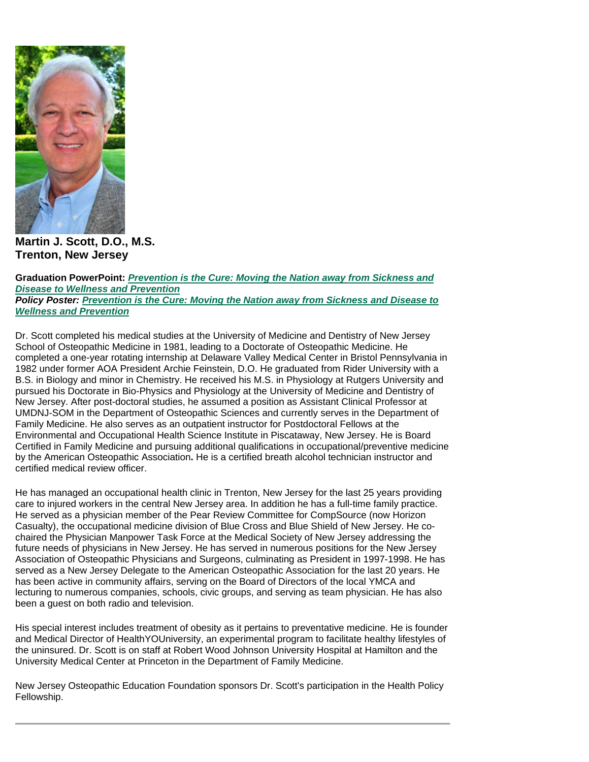

**Martin J. Scott, D.O., M.S. Trenton, New Jersey**

**Graduation PowerPoint:** *[Prevention is the Cure: Moving the Nation away from Sickness and](https://ohio.box.com/s/srqgog34h919jze17ephiomn95savd1z)  [Disease to Wellness and Prevention](https://ohio.box.com/s/srqgog34h919jze17ephiomn95savd1z) Policy Poster: [Prevention is the Cure: Moving the Nation away from Sickness and Disease to](https://ohio.box.com/s/or0oc754gvgxkydxyiqkesb4cpf1kzmi)  [Wellness and Prevention](https://ohio.box.com/s/or0oc754gvgxkydxyiqkesb4cpf1kzmi)*

Dr. Scott completed his medical studies at the University of Medicine and Dentistry of New Jersey School of Osteopathic Medicine in 1981, leading to a Doctorate of Osteopathic Medicine. He completed a one-year rotating internship at Delaware Valley Medical Center in Bristol Pennsylvania in 1982 under former AOA President Archie Feinstein, D.O. He graduated from Rider University with a B.S. in Biology and minor in Chemistry. He received his M.S. in Physiology at Rutgers University and pursued his Doctorate in Bio-Physics and Physiology at the University of Medicine and Dentistry of New Jersey. After post-doctoral studies, he assumed a position as Assistant Clinical Professor at UMDNJ-SOM in the Department of Osteopathic Sciences and currently serves in the Department of Family Medicine. He also serves as an outpatient instructor for Postdoctoral Fellows at the Environmental and Occupational Health Science Institute in Piscataway, New Jersey. He is Board Certified in Family Medicine and pursuing additional qualifications in occupational/preventive medicine by the American Osteopathic Association**.** He is a certified breath alcohol technician instructor and certified medical review officer.

He has managed an occupational health clinic in Trenton, New Jersey for the last 25 years providing care to injured workers in the central New Jersey area. In addition he has a full-time family practice. He served as a physician member of the Pear Review Committee for CompSource (now Horizon Casualty), the occupational medicine division of Blue Cross and Blue Shield of New Jersey. He cochaired the Physician Manpower Task Force at the Medical Society of New Jersey addressing the future needs of physicians in New Jersey. He has served in numerous positions for the New Jersey Association of Osteopathic Physicians and Surgeons, culminating as President in 1997-1998. He has served as a New Jersey Delegate to the American Osteopathic Association for the last 20 years. He has been active in community affairs, serving on the Board of Directors of the local YMCA and lecturing to numerous companies, schools, civic groups, and serving as team physician. He has also been a guest on both radio and television.

His special interest includes treatment of obesity as it pertains to preventative medicine. He is founder and Medical Director of HealthYOUniversity, an experimental program to facilitate healthy lifestyles of the uninsured. Dr. Scott is on staff at Robert Wood Johnson University Hospital at Hamilton and the University Medical Center at Princeton in the Department of Family Medicine.

New Jersey Osteopathic Education Foundation sponsors Dr. Scott's participation in the Health Policy Fellowship.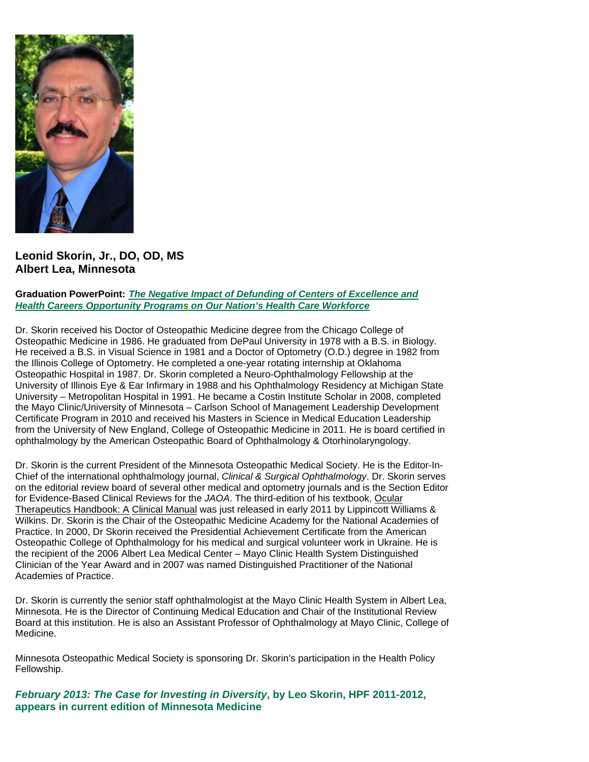

**Leonid Skorin, Jr., DO, OD, MS Albert Lea, Minnesota**

#### **Graduation PowerPoint:** *[The Negative Impact of Defunding of Centers of Excellence and](https://ohio.box.com/s/i7txgqmap4v01ek1c82uhck8sre8k3i1)  Health Careers Opportunity Programs [on Our Nation's Health Care Workforce](https://ohio.box.com/s/i7txgqmap4v01ek1c82uhck8sre8k3i1)*

Dr. Skorin received his Doctor of Osteopathic Medicine degree from the Chicago College of Osteopathic Medicine in 1986. He graduated from DePaul University in 1978 with a B.S. in Biology. He received a B.S. in Visual Science in 1981 and a Doctor of Optometry (O.D.) degree in 1982 from the Illinois College of Optometry. He completed a one-year rotating internship at Oklahoma Osteopathic Hospital in 1987. Dr. Skorin completed a Neuro-Ophthalmology Fellowship at the University of Illinois Eye & Ear Infirmary in 1988 and his Ophthalmology Residency at Michigan State University – Metropolitan Hospital in 1991. He became a Costin Institute Scholar in 2008, completed the Mayo Clinic/University of Minnesota – Carlson School of Management Leadership Development Certificate Program in 2010 and received his Masters in Science in Medical Education Leadership from the University of New England, College of Osteopathic Medicine in 2011. He is board certified in ophthalmology by the American Osteopathic Board of Ophthalmology & Otorhinolaryngology.

Dr. Skorin is the current President of the Minnesota Osteopathic Medical Society. He is the Editor-In-Chief of the international ophthalmology journal, *Clinical & Surgical Ophthalmology*. Dr. Skorin serves on the editorial review board of several other medical and optometry journals and is the Section Editor for Evidence-Based Clinical Reviews for the *JAOA*. The third-edition of his textbook, Ocular Therapeutics Handbook: A Clinical Manual was just released in early 2011 by Lippincott Williams & Wilkins. Dr. Skorin is the Chair of the Osteopathic Medicine Academy for the National Academies of Practice. In 2000, Dr Skorin received the Presidential Achievement Certificate from the American Osteopathic College of Ophthalmology for his medical and surgical volunteer work in Ukraine. He is the recipient of the 2006 Albert Lea Medical Center – Mayo Clinic Health System Distinguished Clinician of the Year Award and in 2007 was named Distinguished Practitioner of the National Academies of Practice.

Dr. Skorin is currently the senior staff ophthalmologist at the Mayo Clinic Health System in Albert Lea, Minnesota. He is the Director of Continuing Medical Education and Chair of the Institutional Review Board at this institution. He is also an Assistant Professor of Ophthalmology at Mayo Clinic, College of Medicine.

Minnesota Osteopathic Medical Society is sponsoring Dr. Skorin's participation in the Health Policy Fellowship.

*February 2013: The Case for Investing in Diversity***, by Leo Skorin, HPF 2011-2012, appears in current edition of Minnesota Medicine**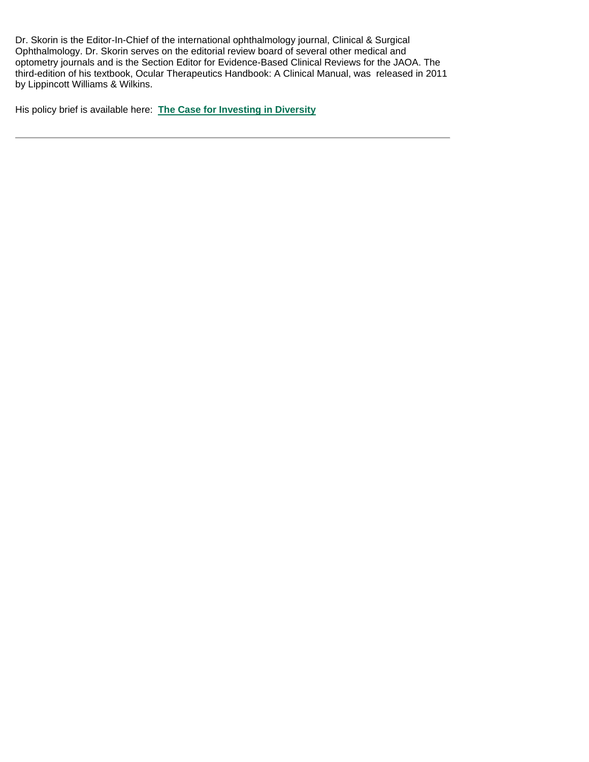Dr. Skorin is the Editor-In-Chief of the international ophthalmology journal, Clinical & Surgical Ophthalmology. Dr. Skorin serves on the editorial review board of several other medical and optometry journals and is the Section Editor for Evidence-Based Clinical Reviews for the JAOA. The third-edition of his textbook, Ocular Therapeutics Handbook: A Clinical Manual, was released in 2011 by Lippincott Williams & Wilkins.

His policy brief is available here: **[The Case for Investing in Diversity](http://www.minnesotamedicine.com/CurrentIssue/Thecaseforinvestingindiversity.aspx)**